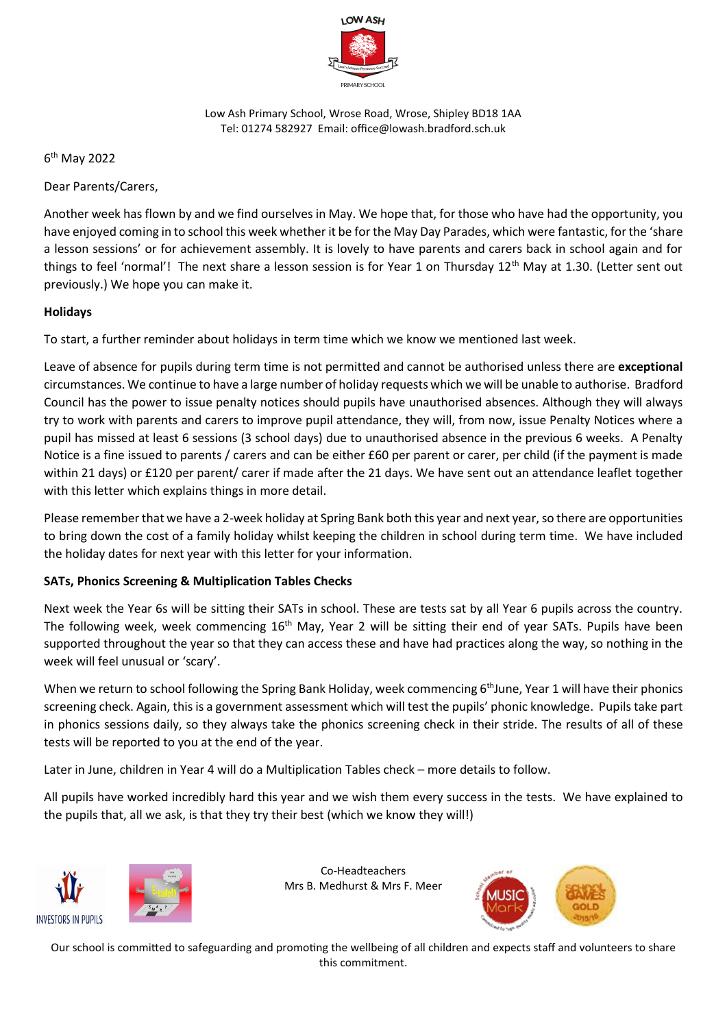

Low Ash Primary School, Wrose Road, Wrose, Shipley BD18 1AA Tel: 01274 582927 Email: office@lowash.bradford.sch.uk

6 th May 2022

Dear Parents/Carers,

Another week has flown by and we find ourselves in May. We hope that, for those who have had the opportunity, you have enjoyed coming in to school this week whether it be for the May Day Parades, which were fantastic, for the 'share a lesson sessions' or for achievement assembly. It is lovely to have parents and carers back in school again and for things to feel 'normal'! The next share a lesson session is for Year 1 on Thursday 12<sup>th</sup> May at 1.30. (Letter sent out previously.) We hope you can make it.

## **Holidays**

To start, a further reminder about holidays in term time which we know we mentioned last week.

Leave of absence for pupils during term time is not permitted and cannot be authorised unless there are **exceptional** circumstances. We continue to have a large number of holiday requests which we will be unable to authorise. Bradford Council has the power to issue penalty notices should pupils have unauthorised absences. Although they will always try to work with parents and carers to improve pupil attendance, they will, from now, issue Penalty Notices where a pupil has missed at least 6 sessions (3 school days) due to unauthorised absence in the previous 6 weeks. A Penalty Notice is a fine issued to parents / carers and can be either £60 per parent or carer, per child (if the payment is made within 21 days) or £120 per parent/ carer if made after the 21 days. We have sent out an attendance leaflet together with this letter which explains things in more detail.

Please remember that we have a 2-week holiday at Spring Bank both this year and next year, so there are opportunities to bring down the cost of a family holiday whilst keeping the children in school during term time. We have included the holiday dates for next year with this letter for your information.

## **SATs, Phonics Screening & Multiplication Tables Checks**

Next week the Year 6s will be sitting their SATs in school. These are tests sat by all Year 6 pupils across the country. The following week, week commencing 16<sup>th</sup> May, Year 2 will be sitting their end of year SATs. Pupils have been supported throughout the year so that they can access these and have had practices along the way, so nothing in the week will feel unusual or 'scary'.

When we return to school following the Spring Bank Holiday, week commencing 6<sup>th</sup>June, Year 1 will have their phonics screening check. Again, this is a government assessment which will test the pupils' phonic knowledge. Pupils take part in phonics sessions daily, so they always take the phonics screening check in their stride. The results of all of these tests will be reported to you at the end of the year.

Later in June, children in Year 4 will do a Multiplication Tables check – more details to follow.

All pupils have worked incredibly hard this year and we wish them every success in the tests. We have explained to the pupils that, all we ask, is that they try their best (which we know they will!)





Co-Headteachers Mrs B. Medhurst & Mrs F. Meer



Our school is committed to safeguarding and promoting the wellbeing of all children and expects staff and volunteers to share this commitment.